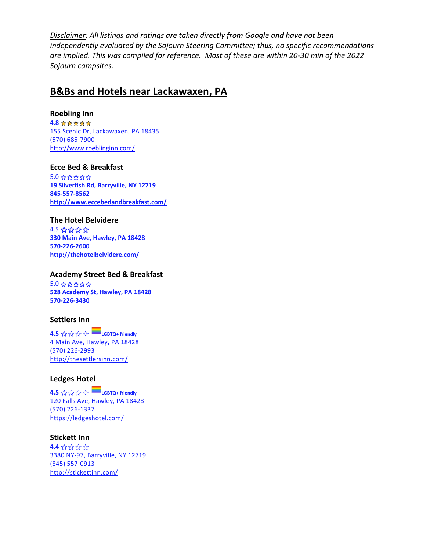*Disclaimer: All listings and ratings are taken directly from Google and have not been independently evaluated by the Sojourn Steering Committee; thus, no specific recommendations are implied. This was compiled for reference. Most of these are within 20-30 min of the 2022 Sojourn campsites.*

## **B&Bs and Hotels near Lackawaxen, PA**

#### **Roebling Inn**

**4.8** 155 Scenic Dr, Lackawaxen, PA 18435 (570) 685-7900 <http://www.roeblinginn.com/>

#### **Ecce Bed & Breakfast**

5.0 ⭐️⭐️⭐️⭐️⭐️ **19 Silverfish Rd, Barryville, NY 12719 845-557-8562 <http://www.eccebedandbreakfast.com/>**

### **The Hotel Belvidere**

4.5 ⭐️⭐️⭐️⭐️ **330 Main Ave, Hawley, PA 18428 570-226-2600 <http://thehotelbelvidere.com/>**

#### **Academy Street Bed & Breakfast**

5.0 ⭐️⭐️⭐️⭐️⭐️ **528 Academy St, Hawley, PA 18428 570-226-3430**

#### **Settlers Inn**

**4.5** ☆☆☆☆ ■ LGBTQ+ friendly 4 Main Ave, Hawley, PA 18428 (570) 226-2993 <http://thesettlersinn.com/>

#### **Ledges Hotel**

**4.5** ⭐️⭐️⭐️⭐️ **LGBTQ+ friendly** 120 Falls Ave, Hawley, PA 18428 (570) 226-1337 <https://ledgeshotel.com/>

#### **Stickett Inn**

**4.4** ⭐️⭐️⭐️⭐️ 3380 NY-97, Barryville, NY 12719 (845) 557-0913 <http://stickettinn.com/>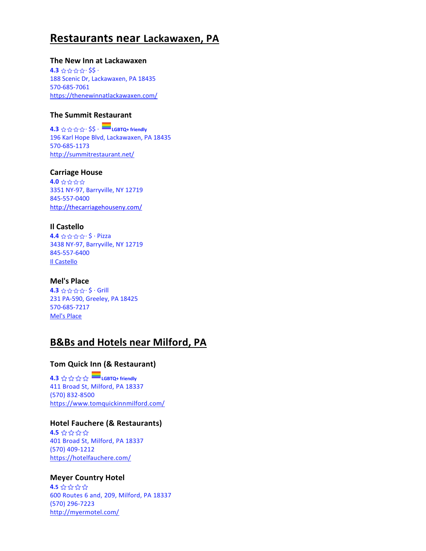## **Restaurants near Lackawaxen, PA**

#### **The New Inn at Lackawaxen**

**4.3** ⭐️⭐️⭐️⭐️· \$\$ · 188 Scenic Dr, Lackawaxen, PA 18435 570-685-7061 <https://thenewinnatlackawaxen.com/>

## **The Summit Restaurant**

**4.3** ⭐️⭐️⭐️⭐️· \$\$ · **LGBTQ+ friendly** 196 Karl Hope Blvd, Lackawaxen, PA 18435 570-685-1173 <http://summitrestaurant.net/>

#### **Carriage House**

**4.0** ⭐️⭐️⭐️⭐️ 3351 NY-97, Barryville, NY 12719 845-557-0400 <http://thecarriagehouseny.com/>

## **Il Castello**

**4.4** ☆☆☆☆・\$ · Pizza 3438 NY-97, Barryville, NY 12719 845-557-6400 [Il Castello](https://m.facebook.com/Ilcastellopizzeriaristorante/)

#### **Mel's Place**

**4.3** ⭐️⭐️⭐️⭐️· \$ · Grill 231 PA-590, Greeley, PA 18425 570-685-7217 [Mel's Place](https://melsplacepa.business.site/?utm_source=gmb&utm_medium=web)

## **B&Bs and Hotels near Milford, PA**

## **Tom Quick Inn (& Restaurant)**

**4.3** ⭐️⭐️⭐️⭐️ **LGBTQ+ friendly** 411 Broad St, Milford, PA 18337 (570) 832-8500 <https://www.tomquickinnmilford.com/>

## **Hotel Fauchere (& Restaurants)**

**4.5** ⭐️⭐️⭐️⭐️ 401 Broad St, Milford, PA 18337 (570) 409-1212 <https://hotelfauchere.com/>

#### **Meyer Country Hotel**

**4.5** ⭐️⭐️⭐️⭐️ 600 Routes 6 and, 209, Milford, PA 18337 (570) 296-7223 <http://myermotel.com/>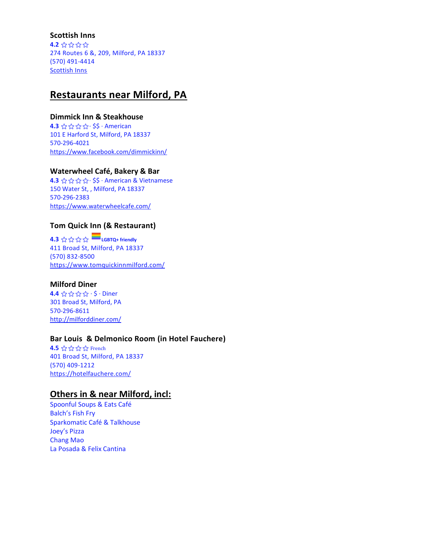#### **Scottish Inns**

**4.2** ⭐️⭐️⭐️⭐️ 274 Routes 6 &, 209, Milford, PA 18337 (570) 491-4414 [Scottish Inns](https://www.stayhihotels.com/property/scottish-inns-milford-pa/?utm_source=Google&utm_medium=referral&utm_campaign=MyBusiness)

## **Restaurants near Milford, PA**

## **Dimmick Inn & Steakhouse**

**4.3** ☆☆☆☆· \$\$ · American 101 E Harford St, Milford, PA 18337 570-296-4021 <https://www.facebook.com/dimmickinn/>

### **Waterwheel Café, Bakery & Bar**

**4.3** ⭐️⭐️⭐️⭐️· \$\$ · American & Vietnamese 150 Water St, , Milford, PA 18337 570-296-2383 <https://www.waterwheelcafe.com/>

## **Tom Quick Inn (& Restaurant)**

**4.3** ☆☆☆☆ ■ LGBTQ+ friendly 411 Broad St, Milford, PA 18337 (570) 832-8500 <https://www.tomquickinnmilford.com/>

## **Milford Diner**

**4.4** ☆☆☆☆ · \$ · Diner 301 Broad St, Milford, PA 570-296-8611 <http://milforddiner.com/>

## **Bar Louis & Delmonico Room (in Hotel Fauchere)**

**4.5 ☆☆☆☆** French 401 Broad St, Milford, PA 18337 (570) 409-1212 <https://hotelfauchere.com/>

## **Others in & near Milford, incl:**

Spoonful Soups & Eats Café Balch's Fish Fry Sparkomatic Café & Talkhouse Joey's Pizza Chang Mao La Posada & Felix Cantina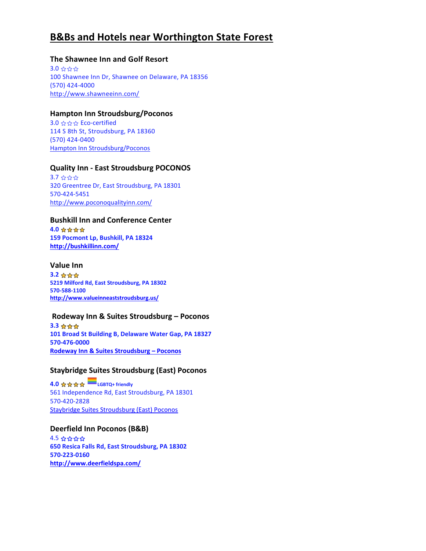## **B&Bs and Hotels near Worthington State Forest**

### **The Shawnee Inn and Golf Resort**

3.0 ⭐️⭐️⭐️ 100 Shawnee Inn Dr, Shawnee on Delaware, PA 18356 (570) 424-4000 <http://www.shawneeinn.com/>

#### **Hampton Inn Stroudsburg/Poconos**

3.0 ⭐️⭐️⭐️ Eco-certified 114 S 8th St, Stroudsburg, PA 18360 (570) 424-0400 [Hampton Inn Stroudsburg/Poconos](https://www.hilton.com/en/hotels/sbgpahx-hampton-stroudsburg-poconos/?SEO_id=GMB-AMER-HX-SBGPAHX&y_source=1_MjA4MjA0Ny03MTUtbG9jYXRpb24ud2Vic2l0ZQ%3D%3D)

### **Quality Inn - East Stroudsburg POCONOS**

3.7 ⭐️⭐️⭐️ 320 Greentree Dr, East Stroudsburg, PA 18301 570-424-5451 <http://www.poconoqualityinn.com/>

## **Bushkill Inn and Conference Center**

**4.0 ☆☆☆☆ 159 Pocmont Lp, Bushkill, PA 18324 <http://bushkillinn.com/>**

#### **Value Inn**

**3.2 ☆☆☆ 5219 Milford Rd, East Stroudsburg, PA 18302 570-588-1100 <http://www.valueinneaststroudsburg.us/>**

#### **Rodeway Inn & Suites Stroudsburg – Poconos**

**3.3 ☆☆☆ 101 Broad St Building B, Delaware Water Gap, PA 18327 570-476-0000 [Rodeway Inn & Suites Stroudsburg](https://www.choicehotels.com/pennsylvania/delaware-water-gap/rodeway-inn-hotels/pa813?mc=llgoxxpx) – Poconos**

## **Staybridge Suites Stroudsburg (East) Poconos**

 $4.0 \leq x \leq \sqrt{x}$ 561 Independence Rd, East Stroudsburg, PA 18301 570-420-2828 [Staybridge Suites Stroudsburg \(East\) Poconos](https://www.ihg.com/staybridge/hotels/us/en/east-stroudsburg/srbpa/hoteldetail?cm_mmc=GoogleMaps-_-SB-_-US-_-SRBPA)

**Deerfield Inn Poconos (B&B)** 4.5 ⭐️⭐️⭐️⭐️ **650 Resica Falls Rd, East Stroudsburg, PA 18302 570-223-0160 <http://www.deerfieldspa.com/>**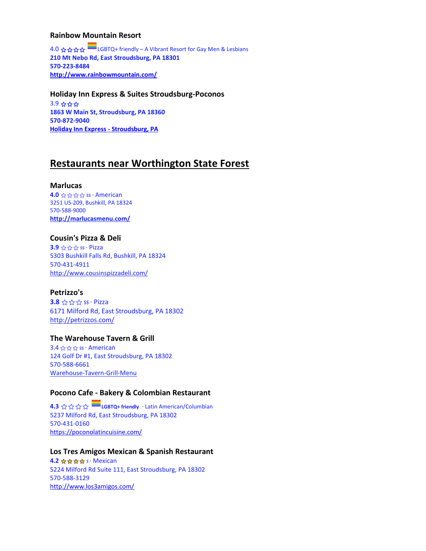#### **Rainbow Mountain Resort**

4.0 ⭐️⭐️⭐️⭐️ LGBTQ+ friendly – A Vibrant Resort for Gay Men & Lesbians **210 Mt Nebo Rd, East Stroudsburg, PA 18301 570-223-8484 <http://www.rainbowmountain.com/>**

#### **Holiday Inn Express & Suites Stroudsburg-Poconos** 3.9 ⭐️⭐️⭐️ **1863 W Main St, Stroudsburg, PA 18360**

**570-872-9040 [Holiday Inn Express -](https://www.ihg.com/holidayinnexpress/hotels/us/en/stroudsburg/srbex/hoteldetail?cm_mmc=GoogleMaps-_-EX-_-US-_-SRBEX) Stroudsburg, PA**

## **Restaurants near Worthington State Forest**

### **Marlucas**

**4.0** ☆☆☆☆ \$\$ · American 3251 US-209, Bushkill, PA 18324 570-588-9000 **<http://marlucasmenu.com/>**

## **Cousin's Pizza & Deli**

**3.9** ☆☆☆ \$\$ · Pizza 5303 Bushkill Falls Rd, Bushkill, PA 18324 570-431-4911 <http://www.cousinspizzadeli.com/>

## **Petrizzo's**

**3.8** ☆☆☆ \$\$ · Pizza 6171 Milford Rd, East Stroudsburg, PA 18302 <http://petrizzos.com/>

## **The Warehouse Tavern & Grill**

3.4 ☆☆☆ \$\$ · American 124 Golf Dr #1, East Stroudsburg, PA 18302 570-588-6661 [Warehouse-Tavern-Grill-Menu](https://storage.googleapis.com/brewer-vacations-frontend.appspot.com/clientmedia/8jfaoin2daf-gjliahla2fg-4gjhj95jy8ss-q2/media/Warehouse-Tavern-Grill-New-Menu-07-2019.pdf)

## **Pocono Cafe - Bakery & Colombian Restaurant**

**4.3** ⭐️⭐️⭐️⭐️ **LGBTQ+ friendly** · Latin American/Columbian 5237 Milford Rd, East Stroudsburg, PA 18302 570-431-0160 <https://poconolatincuisine.com/>

#### **Los Tres Amigos Mexican & Spanish Restaurant**

**4.2 ☆☆☆☆ \$ · Mexican** 5224 Milford Rd Suite 111, East Stroudsburg, PA 18302 570-588-3129 <http://www.los3amigos.com/>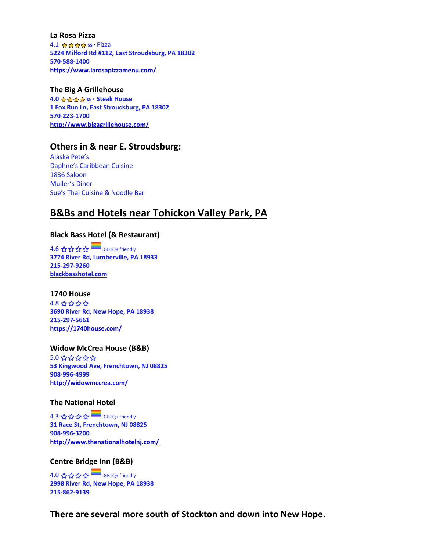#### **La Rosa Pizza**

4.1 ☆☆☆☆ \$\$ Pizza **5224 Milford Rd #112, East Stroudsburg, PA 18302 570-588-1400 <https://www.larosapizzamenu.com/>**

#### **The Big A Grillehouse**

**4.0 \$\$ · Steak House 1 Fox Run Ln, East Stroudsburg, PA 18302 570-223-1700 <http://www.bigagrillehouse.com/>**

## **Others in & near E. Stroudsburg:**

Alaska Pete's Daphne's Caribbean Cuisine 1836 Saloon Muller's Diner Sue's Thai Cuisine & Noodle Bar

## **B&Bs and Hotels near Tohickon Valley Park, PA**

## **Black Bass Hotel (& Restaurant)**

4.6 ⭐️⭐️⭐️⭐️ LGBTQ+ friendly **3774 River Rd, Lumberville, PA 18933 215-297-9260 [blackbasshotel.com](https://blackbasshotel.com/?utm_source=google&utm_medium=organic&utm_campaign=google_my_business)**

#### **1740 House**

4.8 ⭐️⭐️⭐️⭐️ **3690 River Rd, New Hope, PA 18938 215-297-5661 <https://1740house.com/>**

#### **Widow McCrea House (B&B)**

5.0 ⭐️⭐️⭐️⭐️⭐️ **53 Kingwood Ave, Frenchtown, NJ 08825 908-996-4999 <http://widowmccrea.com/>**

#### **The National Hotel**

4.3 ⭐️⭐️⭐️⭐️ LGBTQ+ friendly **31 Race St, Frenchtown, NJ 08825 908-996-3200 <http://www.thenationalhotelnj.com/>**

#### **Centre Bridge Inn (B&B)**

4.0 ⭐️⭐️⭐️⭐️ LGBTQ+ friendly **2998 River Rd, New Hope, PA 18938 215-862-9139**

**There are several more south of Stockton and down into New Hope.**